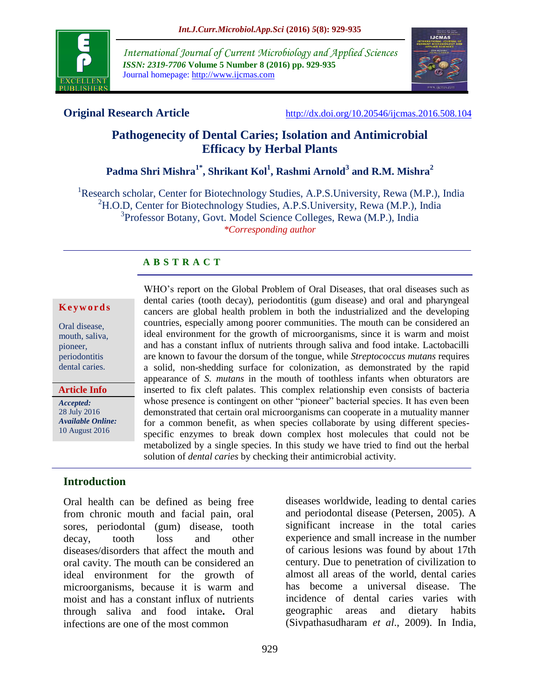

*International Journal of Current Microbiology and Applied Sciences ISSN: 2319-7706* **Volume 5 Number 8 (2016) pp. 929-935** Journal homepage: http://www.ijcmas.com



**Original Research Article** <http://dx.doi.org/10.20546/ijcmas.2016.508.104>

# **Pathogenecity of Dental Caries; Isolation and Antimicrobial Efficacy by Herbal Plants**

**Padma Shri Mishra1\* , Shrikant Kol<sup>1</sup> , Rashmi Arnold<sup>3</sup> and R.M. Mishra<sup>2</sup>**

<sup>1</sup>Research scholar, Center for Biotechnology Studies, A.P.S.University, Rewa (M.P.), India  ${}^{2}$ H.O.D, Center for Biotechnology Studies, A.P.S.University, Rewa (M.P.), India <sup>3</sup>Professor Botany, Govt. Model Science Colleges, Rewa (M.P.), India *\*Corresponding author*

# **A B S T R A C T**

#### **K e y w o r d s**

Oral disease, mouth, saliva, pioneer, periodontitis dental caries.

*Accepted:*  **Article Info**

28 July 2016 *Available Online:* 10 August 2016

**Introduction**

Oral health can be defined as being free from chronic mouth and facial pain, oral sores, periodontal (gum) disease, tooth decay, tooth loss and other diseases/disorders that affect the mouth and oral cavity. The mouth can be considered an ideal environment for the growth of microorganisms, because it is warm and moist and has a constant influx of nutrients through saliva and food intake**.** Oral infections are one of the most common

dental caries (tooth decay), periodontitis (gum disease) and oral and pharyngeal cancers are global health problem in both the industrialized and the developing countries, especially among poorer communities. The mouth can be considered an ideal environment for the growth of microorganisms, since it is warm and moist and has a constant influx of nutrients through saliva and food intake. Lactobacilli are known to favour the dorsum of the tongue, while *Streptococcus mutans* requires a solid, non-shedding surface for colonization, as demonstrated by the rapid appearance of *S. mutans* in the mouth of toothless infants when obturators are inserted to fix cleft palates. This complex relationship even consists of bacteria whose presence is contingent on other "pioneer" bacterial species. It has even been demonstrated that certain oral microorganisms can cooperate in a mutuality manner for a common benefit, as when species collaborate by using different speciesspecific enzymes to break down complex host molecules that could not be metabolized by a single species. In this study we have tried to find out the herbal solution of *dental caries* by checking their antimicrobial activity.

WHO's report on the Global Problem of Oral Diseases, that oral diseases such as

diseases worldwide, leading to dental caries and periodontal disease (Petersen, 2005). A significant increase in the total caries experience and small increase in the number of carious lesions was found by about 17th century. Due to penetration of civilization to almost all areas of the world, dental caries has become a universal disease. The incidence of dental caries varies with geographic areas and dietary habits (Sivpathasudharam *et al*., 2009). In India,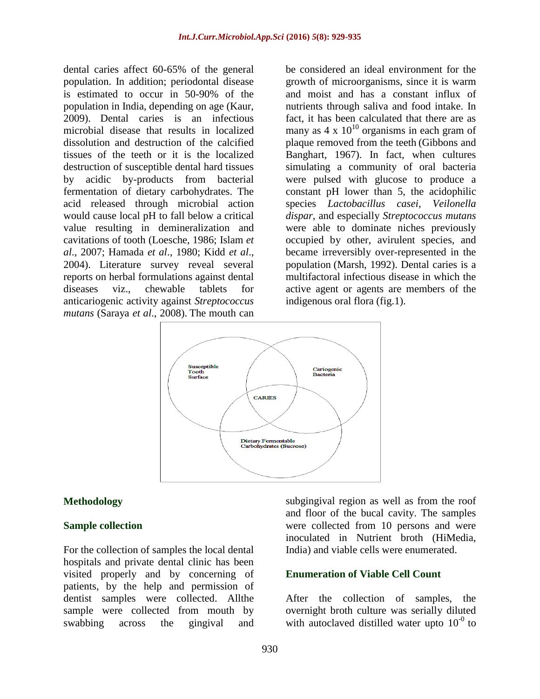dental caries affect 60-65% of the general population. In addition; periodontal disease is estimated to occur in 50-90% of the population in India, depending on age (Kaur, 2009). Dental caries is an infectious microbial disease that results in localized dissolution and destruction of the calcified tissues of the teeth or it is the localized destruction of susceptible dental hard tissues by acidic by-products from bacterial fermentation of dietary carbohydrates. The acid released through microbial action would cause local pH to fall below a critical value resulting in demineralization and cavitations of tooth (Loesche, 1986; Islam *et al*., 2007; Hamada *et al*., 1980; Kidd *et al*., 2004). Literature survey reveal several reports on herbal formulations against dental diseases viz., chewable tablets for anticariogenic activity against *Streptococcus mutans* (Saraya *et al*., 2008). The mouth can

be considered an ideal environment for the growth of microorganisms, since it is warm and moist and has a constant influx of nutrients through saliva and food intake. In fact, it has been calculated that there are as many as  $4 \times 10^{10}$  organisms in each gram of plaque removed from the teeth (Gibbons and Banghart, 1967). In fact, when cultures simulating a community of oral bacteria were pulsed with glucose to produce a constant pH lower than 5, the acidophilic species *Lactobacillus casei*, *Veilonella dispar*, and especially *Streptococcus mutans*  were able to dominate niches previously occupied by other, avirulent species, and became irreversibly over-represented in the population (Marsh, 1992). Dental caries is a multifactoral infectious disease in which the active agent or agents are members of the indigenous oral flora (fig.1).



### **Methodology**

### **Sample collection**

For the collection of samples the local dental hospitals and private dental clinic has been visited properly and by concerning of patients, by the help and permission of dentist samples were collected. Allthe sample were collected from mouth by swabbing across the gingival and subgingival region as well as from the roof and floor of the bucal cavity. The samples were collected from 10 persons and were inoculated in Nutrient broth (HiMedia, India) and viable cells were enumerated.

# **Enumeration of Viable Cell Count**

After the collection of samples, the overnight broth culture was serially diluted with autoclaved distilled water upto  $10^{-0}$  to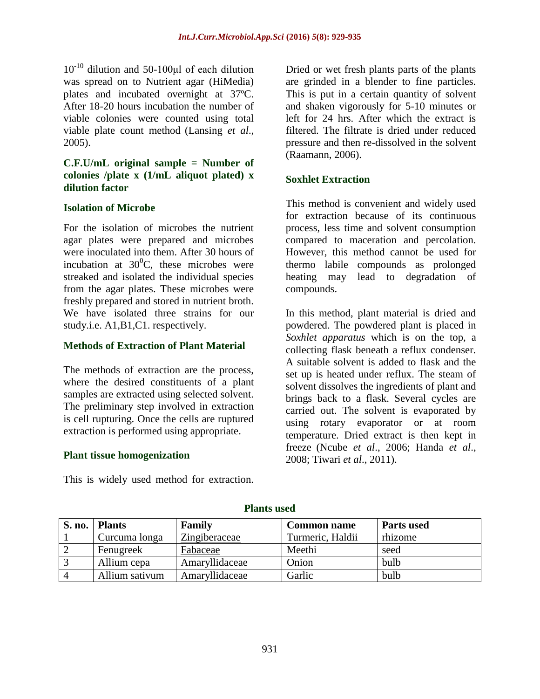$10^{-10}$  dilution and 50-100<sub>kl</sub> of each dilution was spread on to Nutrient agar (HiMedia) plates and incubated overnight at 37ºC. After 18-20 hours incubation the number of viable colonies were counted using total viable plate count method (Lansing *et al*., 2005).

# **C.F.U/mL original sample = Number of colonies /plate x (1/mL aliquot plated) x dilution factor**

### **Isolation of Microbe**

For the isolation of microbes the nutrient agar plates were prepared and microbes were inoculated into them. After 30 hours of incubation at  $30^0$ C, these microbes were streaked and isolated the individual species from the agar plates. These microbes were freshly prepared and stored in nutrient broth. We have isolated three strains for our study.i.e. A1,B1,C1. respectively.

## **Methods of Extraction of Plant Material**

The methods of extraction are the process, where the desired constituents of a plant samples are extracted using selected solvent. The preliminary step involved in extraction is cell rupturing. Once the cells are ruptured extraction is performed using appropriate.

### **Plant tissue homogenization**

This is widely used method for extraction.

Dried or wet fresh plants parts of the plants are grinded in a blender to fine particles. This is put in a certain quantity of solvent and shaken vigorously for 5-10 minutes or left for 24 hrs. After which the extract is filtered. The filtrate is dried under reduced pressure and then re-dissolved in the solvent (Raamann, 2006).

# **Soxhlet Extraction**

This method is convenient and widely used for extraction because of its continuous process, less time and solvent consumption compared to maceration and percolation. However, this method cannot be used for thermo labile compounds as prolonged heating may lead to degradation of compounds.

In this method, plant material is dried and powdered. The powdered plant is placed in *Soxhlet apparatus* which is on the top, a collecting flask beneath a reflux condenser. A suitable solvent is added to flask and the set up is heated under reflux. The steam of solvent dissolves the ingredients of plant and brings back to a flask. Several cycles are carried out. The solvent is evaporated by using rotary evaporator or at room temperature. Dried extract is then kept in freeze (Ncube *et al*., 2006; Handa *et al*., 2008; Tiwari *et al*., 2011).

| S. no. | <b>Plants</b>  | <b>Family</b>  | <b>Common name</b> | Parts used |
|--------|----------------|----------------|--------------------|------------|
|        | Curcuma longa  | Zingiberaceae  | Turmeric, Haldii   | rhizome    |
|        | Fenugreek      | Fabaceae       | Meethi             | seed       |
|        | Allium cepa    | Amaryllidaceae | Onion              | bulb       |
|        | Allium sativum | Amaryllidaceae | Garlic             | bulb       |

**Plants used**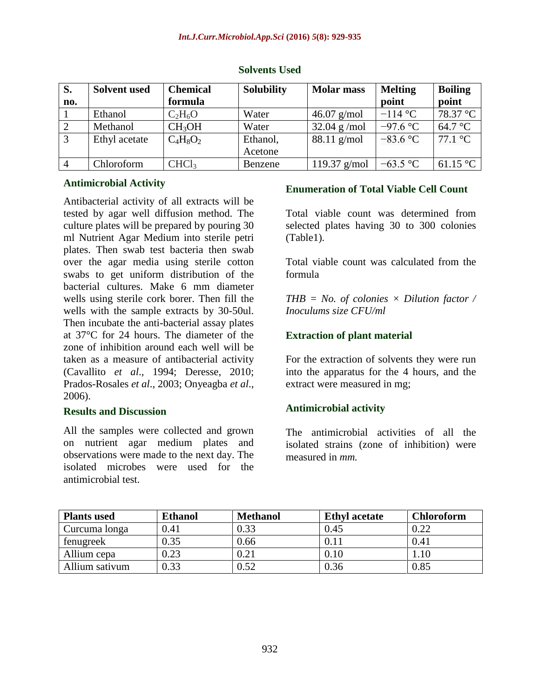| S.             | <b>Solvent</b> used | <b>Chemical</b>    | <b>Solubility</b> | <b>Molar mass</b> | <b>Melting</b> | <b>Boiling</b>             |
|----------------|---------------------|--------------------|-------------------|-------------------|----------------|----------------------------|
| no.            |                     | formula            |                   |                   | point          | point                      |
|                | Ethanol             | $C_2H_6O$          | Water             | $46.07$ g/mol     | $-114$ °C      | 78.37 °C                   |
|                | Methanol            | CH <sub>3</sub> OH | Water             | $32.04$ g/mol     | $-97.6$ °C     | 64.7 °C                    |
| $\overline{3}$ | Ethyl acetate       | $C_4H_8O_2$        | Ethanol,          | $88.11$ g/mol     | $-83.6$ °C     | $77.1 \text{ }^{\circ}C$   |
|                |                     |                    | Acetone           |                   |                |                            |
|                | Chloroform          | CHCl <sub>3</sub>  | Benzene           | 119.37 $g/mol$    | $-63.5$ °C     | 61.15 $\mathrm{^{\circ}C}$ |

#### **Solvents Used**

# **Antimicrobial Activity**

Antibacterial activity of all extracts will be tested by agar well diffusion method. The culture plates will be prepared by pouring 30 ml Nutrient Agar Medium into sterile petri plates. Then swab test bacteria then swab over the agar media using sterile cotton swabs to get uniform distribution of the bacterial cultures. Make 6 mm diameter wells using sterile cork borer. Then fill the wells with the sample extracts by 30-50ul. Then incubate the anti-bacterial assay plates at 37°C for 24 hours. The diameter of the zone of inhibition around each well will be taken as a measure of antibacterial activity (Cavallito *et al*., 1994; Deresse, 2010; Prados-Rosales *et al*., 2003; Onyeagba *et al*., 2006).

### **Results and Discussion**

All the samples were collected and grown on nutrient agar medium plates and observations were made to the next day. The isolated microbes were used for the antimicrobial test.

### **Enumeration of Total Viable Cell Count**

Total viable count was determined from selected plates having 30 to 300 colonies (Table1).

Total viable count was calculated from the formula

*THB = No. of colonies × Dilution factor / Inoculums size CFU/ml*

### **Extraction of plant material**

For the extraction of solvents they were run into the apparatus for the 4 hours, and the extract were measured in mg;

### **Antimicrobial activity**

The antimicrobial activities of all the isolated strains (zone of inhibition) were measured in *mm.*

| <b>Plants used</b> | <b>Ethanol</b> | <b>Methanol</b> | <b>Ethyl</b> acetate | <b>Chloroform</b> |
|--------------------|----------------|-----------------|----------------------|-------------------|
| Curcuma longa      | 0.41           | 0.33            | 0.45                 | 0.22              |
| fenugreek          | 0.35           | 0.66            |                      | 0.41              |
| Allium cepa        | 0.23           | $0.21\,$        | 0.10                 |                   |
| Allium sativum     | 0.33           | 0.52            | 0.36                 | 0.85              |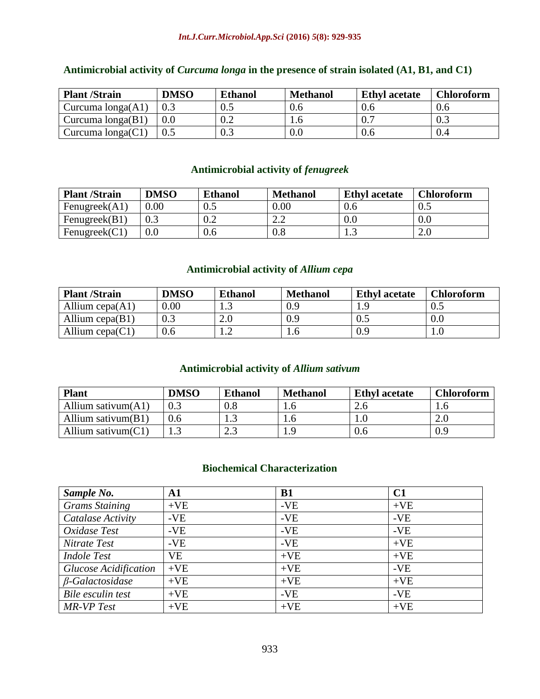#### *Int.J.Curr.Microbiol.App.Sci* **(2016)** *5***(8): 929-935**

| <b>Plant /Strain</b> | <b>DMSO</b> | <b>Ethanol</b> | <b>Methanol</b> | <b>Ethyl acetate</b> | <b>Chloroform</b> |
|----------------------|-------------|----------------|-----------------|----------------------|-------------------|
| Curcuma $longa(A1)$  |             | $0.5\,$        | 0.6             | 0.6                  | 0.6               |
| Curcuma $longa(B1)$  |             | 0.2            |                 | 0.7                  | 0.3               |
| Curcuma $longa(C1)$  |             | 0.3            | 0.0             | 0.6                  |                   |

# **Antimicrobial activity of** *Curcuma longa* **in the presence of strain isolated (A1, B1, and C1)**

# **Antimicrobial activity of** *fenugreek*

| <b>Plant /Strain</b> | <b>DMSO</b> | <b>Ethanol</b> | <b>Methanol</b>                 | <b>Ethyl</b> acetate | <b>Chloroform</b> |
|----------------------|-------------|----------------|---------------------------------|----------------------|-------------------|
| Fenugreek $(A1)$     | 0.00        | 0.5            | 0.00                            | 0.6                  | 0.5               |
| Fenugreek $(B1)$     |             | 0.2            | າ າ<br>$\overline{\phantom{a}}$ | 0.0                  | $0.0\,$           |
| Fenugreek $(C1)$     |             | 0.6            | 0.8                             | ر…                   | 2.0               |

# **Antimicrobial activity of** *Allium cepa*

| <b>Plant /Strain</b> | <b>DMSO</b> | <b>Ethanol</b> | <b>Methanol</b> | <b>Ethyl acetate</b> | <b>Chloroform</b> |
|----------------------|-------------|----------------|-----------------|----------------------|-------------------|
| Allium $cepa(A1)$    | 0.00        | 1.J            | 0.9             |                      | $0.5\,$           |
| Allium cepa $(B1)$   | 0.3         | $2.0\,$        | 0.9             | 0.5                  | 0.0               |
| Allium $cepa(C1)$    | 0.6         |                | l.O             | 0.9                  |                   |

# **Antimicrobial activity of** *Allium sativum*

| <b>Plant</b>          | DMSO | <b>Ethanol</b> | <b>Methanol</b> | <b>Ethyl acetate</b> | <b>Chloroform</b> |
|-----------------------|------|----------------|-----------------|----------------------|-------------------|
| Allium sativum $(A1)$ |      | $0.8\,$        | 1.0             | 2.6                  |                   |
| Allium sativum $(B1)$ |      | ر. .           | 1.0             | 1.0                  | $\epsilon$ .      |
| Allium sativum $(C1)$ |      | ل و ک          | 1.9             | 0.6                  | 0.9               |

# **Biochemical Characterization**

| Sample No.                   | A1        | B1    | C1    |
|------------------------------|-----------|-------|-------|
| <b>Grams Staining</b>        | $+VE$     | $-VE$ | $+VE$ |
| Catalase Activity            | $-VE$     | $-VE$ | $-VE$ |
| Oxidase Test                 | $-VE$     | $-VE$ | $-VE$ |
| Nitrate Test                 | $-VE$     | $-VE$ | $+VE$ |
| <b>Indole Test</b>           | <b>VE</b> | $+VE$ | $+VE$ |
| <b>Glucose Acidification</b> | $+VE$     | $+VE$ | $-VE$ |
| $\beta$ -Galactosidase       | $+VE$     | $+VE$ | $+VE$ |
| Bile esculin test            | $+VE$     | $-VE$ | $-VE$ |
| <b>MR-VP</b> Test            | $+VE$     | $+VE$ | $+VE$ |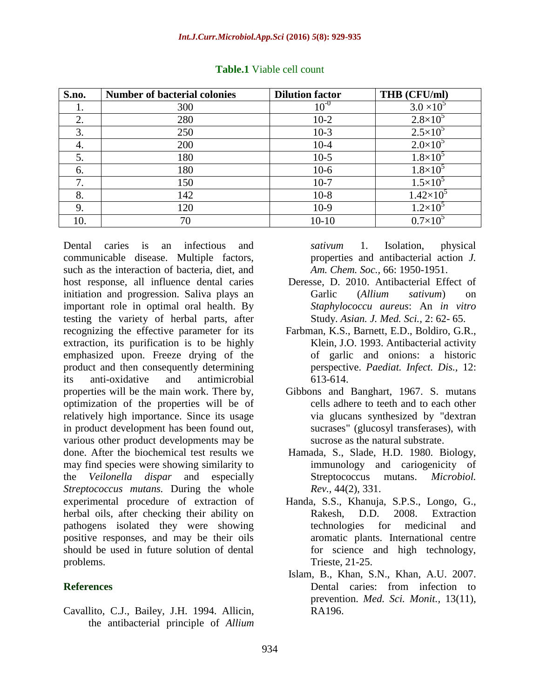| S.no. | <b>Number of bacterial colonies</b> | <b>Dilution factor</b> | THB (CFU/ml)        |
|-------|-------------------------------------|------------------------|---------------------|
| ı.    | 300                                 | $10^{-0}$              | $3.0 \times 10^{5}$ |
| 2.    | 280                                 | $10-2$                 | $2.8 \times 10^{5}$ |
| 3.    | 250                                 | $10-3$                 | $2.5 \times 10^{5}$ |
| 4.    | 200                                 | $10-4$                 | $2.0\times10^{5}$   |
| 5.    | 180                                 | $10-5$                 | $1.8\times10^{5}$   |
| 6.    | 180                                 | $10-6$                 | $1.8 \times 10^{5}$ |
| 7.    | 150                                 | $10-7$                 | $1.5 \times 10^{5}$ |
| 8.    | 142                                 | $10-8$                 | $1.42\times10^{5}$  |
| 9.    | 120                                 | $10-9$                 | $1.2\times10^5$     |
| 10.   | 70                                  | $10 - 10$              | $0.7\times10^{5}$   |

#### **Table.1** Viable cell count

Dental caries is an infectious and communicable disease. Multiple factors, such as the interaction of bacteria, diet, and host response, all influence dental caries initiation and progression. Saliva plays an important role in optimal oral health. By testing the variety of herbal parts, after recognizing the effective parameter for its extraction, its purification is to be highly emphasized upon. Freeze drying of the product and then consequently determining its anti-oxidative and antimicrobial properties will be the main work. There by, optimization of the properties will be of relatively high importance. Since its usage in product development has been found out, various other product developments may be done. After the biochemical test results we may find species were showing similarity to the *Veilonella dispar* and especially *Streptococcus mutans.* During the whole experimental procedure of extraction of herbal oils, after checking their ability on pathogens isolated they were showing positive responses, and may be their oils should be used in future solution of dental problems.

### **References**

Cavallito, C.J., Bailey, J.H. 1994. Allicin, the antibacterial principle of *Allium* *sativum* 1. Isolation, physical properties and antibacterial action *J. Am. Chem. Soc.,* 66: 1950-1951.

- Deresse, D. 2010. Antibacterial Effect of Garlic (*Allium sativum*) on *Staphylococcu aureus*: An *in vitro*  Study. *Asian. J. Med. Sci.,* 2: 62- 65.
- Farbman, K.S., Barnett, E.D., Boldiro, G.R., Klein, J.O. 1993. Antibacterial activity of garlic and onions: a historic perspective. *Paediat. Infect. Dis.,* 12: 613-614.
- Gibbons and Banghart, 1967. S. mutans cells adhere to teeth and to each other via glucans synthesized by "dextran sucrases" (glucosyl transferases), with sucrose as the natural substrate.
- Hamada, S., Slade, H.D. 1980. Biology, immunology and cariogenicity of Streptococcus mutans. *Microbiol. Rev.,* 44(2), 331.
- Handa, S.S., Khanuja, S.P.S., Longo, G., Rakesh, D.D. 2008. Extraction technologies for medicinal and aromatic plants. International centre for science and high technology, Trieste, 21-25.
- Islam, B., Khan, S.N., Khan, A.U. 2007. Dental caries: from infection to prevention. *Med. Sci. Monit.,* 13(11), RA196.